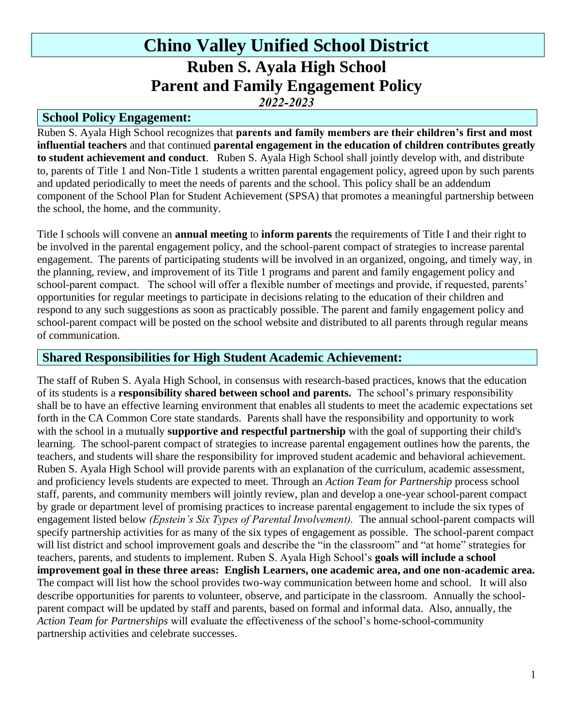# **Chino Valley Unified School District Ruben S. Ayala High School Parent and Family Engagement Policy** *2022-2023*

#### **School Policy Engagement:**

Ruben S. Ayala High School recognizes that **parents and family members are their children's first and most influential teachers** and that continued **parental engagement in the education of children contributes greatly to student achievement and conduct**. Ruben S. Ayala High School shall jointly develop with, and distribute to, parents of Title 1 and Non-Title 1 students a written parental engagement policy, agreed upon by such parents and updated periodically to meet the needs of parents and the school. This policy shall be an addendum component of the School Plan for Student Achievement (SPSA) that promotes a meaningful partnership between the school, the home, and the community.

Title I schools will convene an **annual meeting** to **inform parents** the requirements of Title I and their right to be involved in the parental engagement policy, and the school-parent compact of strategies to increase parental engagement. The parents of participating students will be involved in an organized, ongoing, and timely way, in the planning, review, and improvement of its Title 1 programs and parent and family engagement policy and school-parent compact. The school will offer a flexible number of meetings and provide, if requested, parents' opportunities for regular meetings to participate in decisions relating to the education of their children and respond to any such suggestions as soon as practicably possible. The parent and family engagement policy and school-parent compact will be posted on the school website and distributed to all parents through regular means of communication.

#### **Shared Responsibilities for High Student Academic Achievement:**

The staff of Ruben S. Ayala High School, in consensus with research-based practices, knows that the education of its students is a **responsibility shared between school and parents.** The school's primary responsibility shall be to have an effective learning environment that enables all students to meet the academic expectations set forth in the CA Common Core state standards. Parents shall have the responsibility and opportunity to work with the school in a mutually **supportive and respectful partnership** with the goal of supporting their child's learning. The school-parent compact of strategies to increase parental engagement outlines how the parents, the teachers, and students will share the responsibility for improved student academic and behavioral achievement. Ruben S. Ayala High School will provide parents with an explanation of the curriculum, academic assessment, and proficiency levels students are expected to meet. Through an *Action Team for Partnership* process school staff, parents, and community members will jointly review, plan and develop a one-year school-parent compact by grade or department level of promising practices to increase parental engagement to include the six types of engagement listed below *(Epstein's Six Types of Parental Involvement).* The annual school-parent compacts will specify partnership activities for as many of the six types of engagement as possible. The school-parent compact will list district and school improvement goals and describe the "in the classroom" and "at home" strategies for teachers, parents, and students to implement. Ruben S. Ayala High School's **goals will include a school improvement goal in these three areas: English Learners, one academic area, and one non-academic area.**  The compact will list how the school provides two-way communication between home and school. It will also describe opportunities for parents to volunteer, observe, and participate in the classroom. Annually the schoolparent compact will be updated by staff and parents, based on formal and informal data. Also, annually, the *Action Team for Partnerships* will evaluate the effectiveness of the school's home-school-community partnership activities and celebrate successes.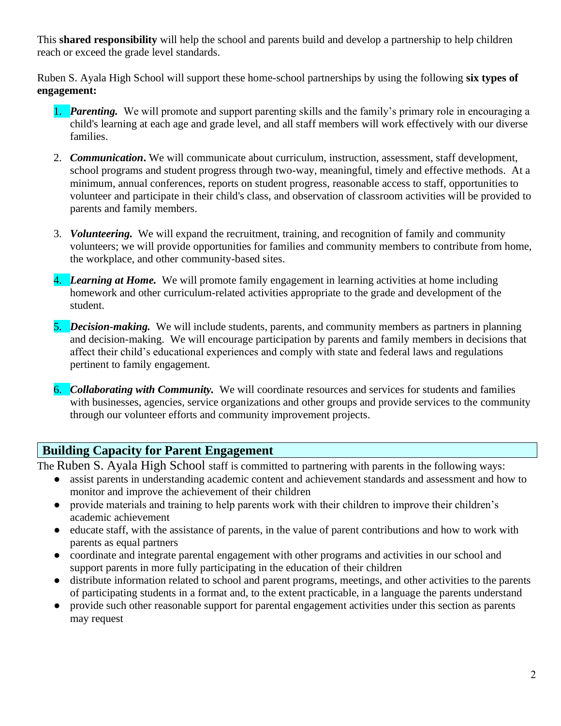This **shared responsibility** will help the school and parents build and develop a partnership to help children reach or exceed the grade level standards.

Ruben S. Ayala High School will support these home-school partnerships by using the following **six types of engagement:**

- 1. *Parenting.*We will promote and support parenting skills and the family's primary role in encouraging a child's learning at each age and grade level, and all staff members will work effectively with our diverse families.
- 2. *Communication***.** We will communicate about curriculum, instruction, assessment, staff development, school programs and student progress through two-way, meaningful, timely and effective methods. At a minimum, annual conferences, reports on student progress, reasonable access to staff, opportunities to volunteer and participate in their child's class, and observation of classroom activities will be provided to parents and family members.
- 3. *Volunteering.*We will expand the recruitment, training, and recognition of family and community volunteers; we will provide opportunities for families and community members to contribute from home, the workplace, and other community-based sites.
- 4. *Learning at Home.*We will promote family engagement in learning activities at home including homework and other curriculum-related activities appropriate to the grade and development of the student.
- 5. *Decision-making.*We will include students, parents, and community members as partners in planning and decision-making. We will encourage participation by parents and family members in decisions that affect their child's educational experiences and comply with state and federal laws and regulations pertinent to family engagement.
- 6. *Collaborating with Community.*We will coordinate resources and services for students and families with businesses, agencies, service organizations and other groups and provide services to the community through our volunteer efforts and community improvement projects.

## **Building Capacity for Parent Engagement**

The Ruben S. Ayala High School staff is committed to partnering with parents in the following ways:

- assist parents in understanding academic content and achievement standards and assessment and how to monitor and improve the achievement of their children
- provide materials and training to help parents work with their children to improve their children's academic achievement
- educate staff, with the assistance of parents, in the value of parent contributions and how to work with parents as equal partners
- coordinate and integrate parental engagement with other programs and activities in our school and support parents in more fully participating in the education of their children
- distribute information related to school and parent programs, meetings, and other activities to the parents of participating students in a format and, to the extent practicable, in a language the parents understand
- provide such other reasonable support for parental engagement activities under this section as parents may request